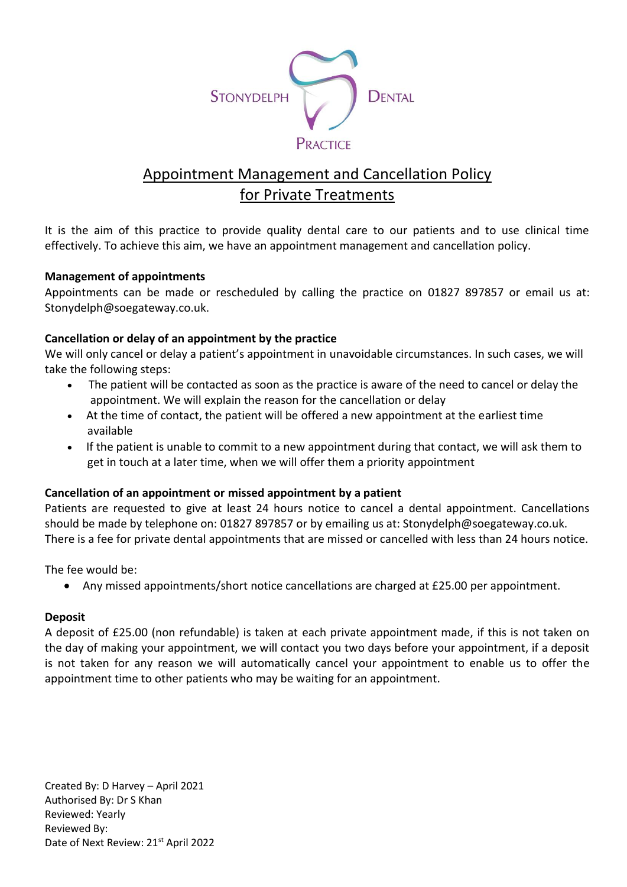

# Appointment Management and Cancellation Policy for Private Treatments

It is the aim of this practice to provide quality dental care to our patients and to use clinical time effectively. To achieve this aim, we have an appointment management and cancellation policy.

### **Management of appointments**

Appointments can be made or rescheduled by calling the practice on 01827 897857 or email us at: Stonydelph@soegateway.co.uk.

### **Cancellation or delay of an appointment by the practice**

We will only cancel or delay a patient's appointment in unavoidable circumstances. In such cases, we will take the following steps:

- The patient will be contacted as soon as the practice is aware of the need to cancel or delay the appointment. We will explain the reason for the cancellation or delay
- At the time of contact, the patient will be offered a new appointment at the earliest time available
- If the patient is unable to commit to a new appointment during that contact, we will ask them to get in touch at a later time, when we will offer them a priority appointment

#### **Cancellation of an appointment or missed appointment by a patient**

Patients are requested to give at least 24 hours notice to cancel a dental appointment. Cancellations should be made by telephone on: 01827 897857 or by emailing us at: Stonydelph@soegateway.co.uk. There is a fee for private dental appointments that are missed or cancelled with less than 24 hours notice.

The fee would be:

• Any missed appointments/short notice cancellations are charged at £25.00 per appointment.

#### **Deposit**

A deposit of £25.00 (non refundable) is taken at each private appointment made, if this is not taken on the day of making your appointment, we will contact you two days before your appointment, if a deposit is not taken for any reason we will automatically cancel your appointment to enable us to offer the appointment time to other patients who may be waiting for an appointment.

Created By: D Harvey – April 2021 Authorised By: Dr S Khan Reviewed: Yearly Reviewed By: Date of Next Review: 21<sup>st</sup> April 2022